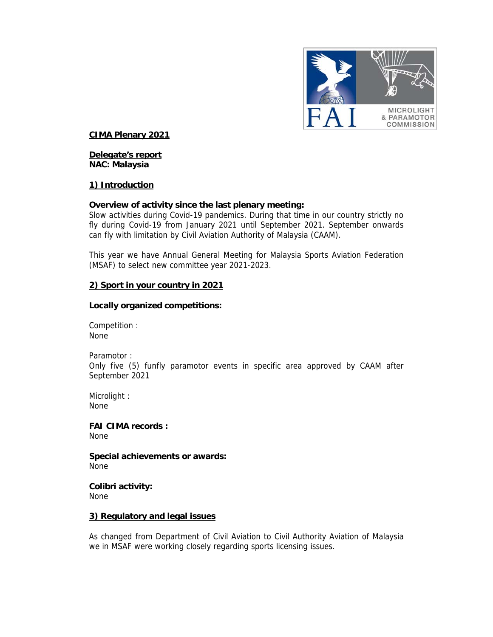

# **CIMA Plenary 2021**

# **Delegate's report NAC: Malaysia**

### **1) Introduction**

### **Overview of activity since the last plenary meeting:**

Slow activities during Covid-19 pandemics. During that time in our country strictly no fly during Covid-19 from January 2021 until September 2021. September onwards can fly with limitation by Civil Aviation Authority of Malaysia (CAAM).

This year we have Annual General Meeting for Malaysia Sports Aviation Federation (MSAF) to select new committee year 2021-2023.

### **2) Sport in your country in 2021**

### **Locally organized competitions:**

Competition : None

Paramotor : Only five (5) funfly paramotor events in specific area approved by CAAM after September 2021

Microlight : None

**FAI CIMA records :**  None

**Special achievements or awards:**  None

**Colibri activity:**  None

#### **3) Regulatory and legal issues**

As changed from Department of Civil Aviation to Civil Authority Aviation of Malaysia we in MSAF were working closely regarding sports licensing issues.